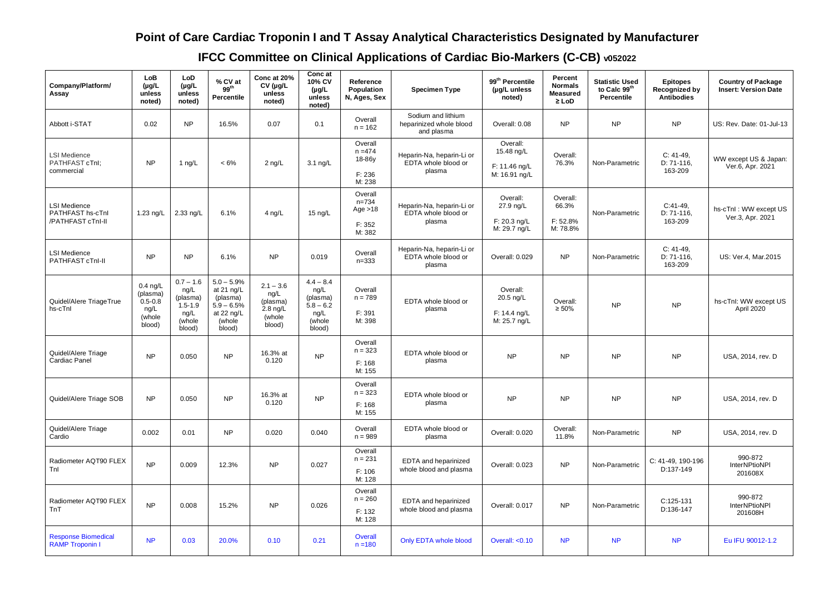## **Point of Care Cardiac Troponin I and T Assay Analytical Characteristics Designated by Manufacturer**

**IFCC Committee on Clinical Applications of Cardiac Bio-Markers (C-CB) v052022**

| Company/Platform/<br>Assay                                   | LoB<br>$(\mu g/L)$<br>unless<br>noted)                            | LoD<br>$(\mu g/L)$<br>unless<br>noted)                                     | % CV at<br>99 <sup>th</sup><br>Percentile                                                  | Conc at 20%<br>$CV$ (µg/L<br>unless<br>noted)                             | Conc at<br>10% CV<br>$(\mu g/L)$<br>unless<br>noted)                       | Reference<br>Population<br>N, Ages, Sex               | <b>Specimen Type</b>                                        | 99 <sup>th</sup> Percentile<br>(µg/L unless<br>noted)    | Percent<br><b>Normals</b><br><b>Measured</b><br>$\geq$ LoD | <b>Statistic Used</b><br>to Calc 99th<br>Percentile | <b>Epitopes</b><br><b>Recognized by</b><br><b>Antibodies</b> | <b>Country of Package</b><br><b>Insert: Version Date</b> |
|--------------------------------------------------------------|-------------------------------------------------------------------|----------------------------------------------------------------------------|--------------------------------------------------------------------------------------------|---------------------------------------------------------------------------|----------------------------------------------------------------------------|-------------------------------------------------------|-------------------------------------------------------------|----------------------------------------------------------|------------------------------------------------------------|-----------------------------------------------------|--------------------------------------------------------------|----------------------------------------------------------|
| Abbott i-STAT                                                | 0.02                                                              | <b>NP</b>                                                                  | 16.5%                                                                                      | 0.07                                                                      | 0.1                                                                        | Overall<br>$n = 162$                                  | Sodium and lithium<br>heparinized whole blood<br>and plasma | Overall: 0.08                                            | <b>NP</b>                                                  | <b>NP</b>                                           | <b>NP</b>                                                    | US: Rev. Date: 01-Jul-13                                 |
| <b>LSI Medience</b><br>PATHFAST cTnl;<br>commercial          | <b>NP</b>                                                         | 1 $ng/L$                                                                   | $< 6\%$                                                                                    | $2$ ng/L                                                                  | $3.1 \text{ ng/L}$                                                         | Overall<br>$n = 474$<br>18-86y<br>F: 236<br>M: 238    | Heparin-Na, heparin-Li or<br>EDTA whole blood or<br>plasma  | Overall:<br>15.48 ng/L<br>F: 11.46 ng/L<br>M: 16.91 ng/L | Overall:<br>76.3%                                          | Non-Parametric                                      | $C: 41-49$ ,<br>D: 71-116,<br>163-209                        | WW except US & Japan:<br>Ver.6, Apr. 2021                |
| <b>LSI Medience</b><br>PATHFAST hs-cTnl<br>/PATHFAST cTnI-II | 1.23 ng/L                                                         | $2.33$ ng/L                                                                | 6.1%                                                                                       | 4 ng/L                                                                    | $15 \text{ ng/L}$                                                          | Overall<br>$n = 734$<br>Age $>18$<br>F: 352<br>M: 382 | Heparin-Na, heparin-Li or<br>EDTA whole blood or<br>plasma  | Overall:<br>27.9 ng/L<br>$F: 20.3$ ng/L<br>M: 29.7 ng/L  | Overall:<br>66.3%<br>F: 52.8%<br>M: 78.8%                  | Non-Parametric                                      | $C:41-49,$<br>D: 71-116,<br>163-209                          | hs-cTnI: WW except US<br>Ver.3, Apr. 2021                |
| <b>LSI Medience</b><br>PATHFAST cTnl-II                      | <b>NP</b>                                                         | <b>NP</b>                                                                  | 6.1%                                                                                       | <b>NP</b>                                                                 | 0.019                                                                      | Overall<br>$n = 333$                                  | Heparin-Na, heparin-Li or<br>EDTA whole blood or<br>plasma  | Overall: 0.029                                           | <b>NP</b>                                                  | Non-Parametric                                      | $C: 41-49,$<br>D: 71-116,<br>163-209                         | US: Ver.4, Mar.2015                                      |
| Quidel/Alere Triage True<br>hs-cTnl                          | $0.4$ ng/L<br>(plasma)<br>$0.5 - 0.8$<br>ng/L<br>(whole<br>blood) | $0.7 - 1.6$<br>ng/L<br>(plasma)<br>$1.5 - 1.9$<br>ng/L<br>(whole<br>blood) | $5.0 - 5.9%$<br>at 21 ng/L<br>(plasma)<br>$5.9 - 6.5%$<br>at 22 $ng/L$<br>(whole<br>blood) | $2.1 - 3.6$<br>ng/L<br>(plasma)<br>$2.8 \text{ ng/L}$<br>(whole<br>blood) | $4.4 - 8.4$<br>ng/L<br>(plasma)<br>$5.8 - 6.2$<br>ng/L<br>(whole<br>blood) | Overall<br>$n = 789$<br>F: 391<br>M: 398              | EDTA whole blood or<br>plasma                               | Overall:<br>20.5 ng/L<br>F: 14.4 ng/L<br>M: 25.7 ng/L    | Overall:<br>$\geq 50\%$                                    | <b>NP</b>                                           | <b>NP</b>                                                    | hs-cTnl: WW except US<br>April 2020                      |
| Quidel/Alere Triage<br><b>Cardiac Panel</b>                  | <b>NP</b>                                                         | 0.050                                                                      | <b>NP</b>                                                                                  | 16.3% at<br>0.120                                                         | <b>NP</b>                                                                  | Overall<br>$n = 323$<br>F: 168<br>M: 155              | EDTA whole blood or<br>plasma                               | <b>NP</b>                                                | <b>NP</b>                                                  | <b>NP</b>                                           | <b>NP</b>                                                    | USA, 2014, rev. D                                        |
| Quidel/Alere Triage SOB                                      | <b>NP</b>                                                         | 0.050                                                                      | <b>NP</b>                                                                                  | 16.3% at<br>0.120                                                         | <b>NP</b>                                                                  | Overall<br>$n = 323$<br>F: 168<br>M: 155              | EDTA whole blood or<br>plasma                               | <b>NP</b>                                                | <b>NP</b>                                                  | <b>NP</b>                                           | <b>NP</b>                                                    | USA, 2014, rev. D                                        |
| Quidel/Alere Triage<br>Cardio                                | 0.002                                                             | 0.01                                                                       | <b>NP</b>                                                                                  | 0.020                                                                     | 0.040                                                                      | Overall<br>$n = 989$                                  | EDTA whole blood or<br>plasma                               | Overall: 0.020                                           | Overall:<br>11.8%                                          | Non-Parametric                                      | <b>NP</b>                                                    | USA, 2014, rev. D                                        |
| Radiometer AQT90 FLEX<br>Tnl                                 | <b>NP</b>                                                         | 0.009                                                                      | 12.3%                                                                                      | <b>NP</b>                                                                 | 0.027                                                                      | Overall<br>$n = 231$<br>F: 106<br>M: 128              | EDTA and heparinized<br>whole blood and plasma              | Overall: 0.023                                           | <b>NP</b>                                                  | Non-Parametric                                      | C: 41-49, 190-196<br>D:137-149                               | 990-872<br>InterNPtioNPI<br>201608X                      |
| Radiometer AQT90 FLEX<br>TnT                                 | <b>NP</b>                                                         | 0.008                                                                      | 15.2%                                                                                      | <b>NP</b>                                                                 | 0.026                                                                      | Overall<br>$n = 260$<br>F: 132<br>M: 128              | EDTA and heparinized<br>whole blood and plasma              | Overall: 0.017                                           | <b>NP</b>                                                  | Non-Parametric                                      | $C:125-131$<br>D:136-147                                     | 990-872<br>InterNPtioNPI<br>201608H                      |
| <b>Response Biomedical</b><br><b>RAMP Troponin I</b>         | <b>NP</b>                                                         | 0.03                                                                       | 20.0%                                                                                      | 0.10                                                                      | 0.21                                                                       | Overall<br>$n = 180$                                  | Only EDTA whole blood                                       | <b>Overall: &lt;0.10</b>                                 | <b>NP</b>                                                  | <b>NP</b>                                           | <b>NP</b>                                                    | Eu IFU 90012-1.2                                         |